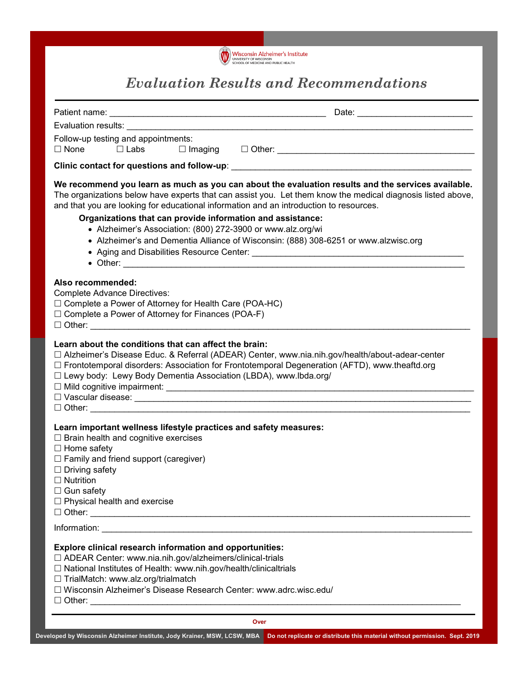

# *Evaluation Results and Recommendations*

| Evaluation results: ________                                                                                                                                                                                                                                                                                                                                                                                                                                                                                                    |  |
|---------------------------------------------------------------------------------------------------------------------------------------------------------------------------------------------------------------------------------------------------------------------------------------------------------------------------------------------------------------------------------------------------------------------------------------------------------------------------------------------------------------------------------|--|
| Follow-up testing and appointments:<br>□ Labs<br>$\Box$ None                                                                                                                                                                                                                                                                                                                                                                                                                                                                    |  |
| Clinic contact for questions and follow-up: example of the state of the state of the state of the state of the                                                                                                                                                                                                                                                                                                                                                                                                                  |  |
| We recommend you learn as much as you can about the evaluation results and the services available.<br>The organizations below have experts that can assist you. Let them know the medical diagnosis listed above,<br>and that you are looking for educational information and an introduction to resources.<br>Organizations that can provide information and assistance:<br>• Alzheimer's Association: (800) 272-3900 or www.alz.org/wi<br>• Alzheimer's and Dementia Alliance of Wisconsin: (888) 308-6251 or www.alzwisc.org |  |
| Also recommended:<br><b>Complete Advance Directives:</b><br>$\Box$ Complete a Power of Attorney for Health Care (POA-HC)<br>$\Box$ Complete a Power of Attorney for Finances (POA-F)                                                                                                                                                                                                                                                                                                                                            |  |
| Learn about the conditions that can affect the brain:<br>□ Alzheimer's Disease Educ. & Referral (ADEAR) Center, www.nia.nih.gov/health/about-adear-center<br>□ Frontotemporal disorders: Association for Frontotemporal Degeneration (AFTD), www.theaftd.org<br>□ Lewy body: Lewy Body Dementia Association (LBDA), www.lbda.org/                                                                                                                                                                                               |  |
| Learn important wellness lifestyle practices and safety measures:<br>$\Box$ Brain health and cognitive exercises<br>$\Box$ Home safety<br>$\Box$ Family and friend support (caregiver)<br>$\Box$ Driving safety<br>$\Box$ Nutrition<br>$\Box$ Gun safety<br>$\Box$ Physical health and exercise                                                                                                                                                                                                                                 |  |
|                                                                                                                                                                                                                                                                                                                                                                                                                                                                                                                                 |  |
| Explore clinical research information and opportunities:<br>□ ADEAR Center: www.nia.nih.gov/alzheimers/clinical-trials<br>□ National Institutes of Health: www.nih.gov/health/clinicaltrials<br>□ TrialMatch: www.alz.org/trialmatch<br>□ Wisconsin Alzheimer's Disease Research Center: www.adrc.wisc.edu/                                                                                                                                                                                                                     |  |
| Over                                                                                                                                                                                                                                                                                                                                                                                                                                                                                                                            |  |